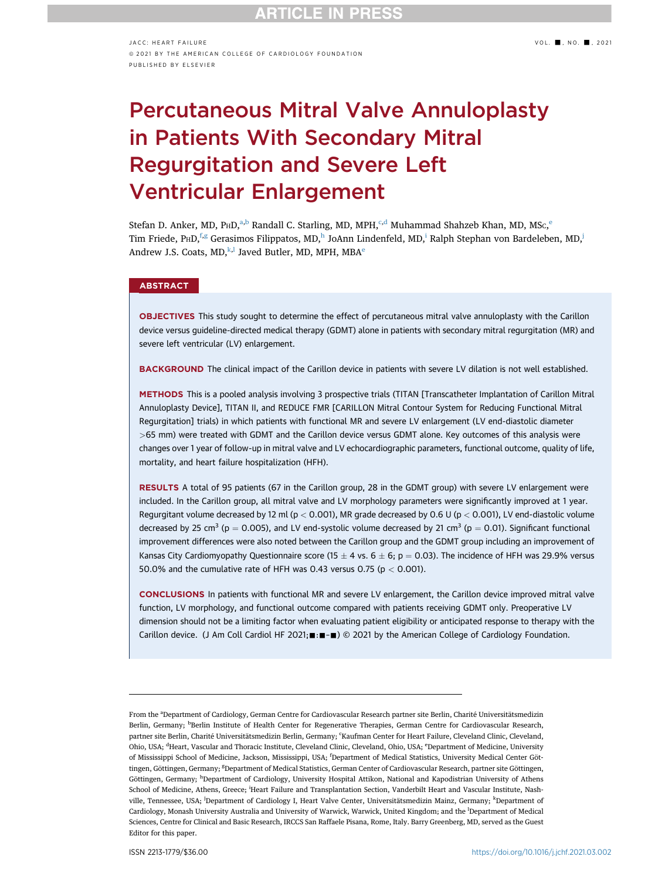# Percutaneous Mitral Valve Annuloplasty in Patients With Secondary Mitral Regurgitation and Severe Left Ventricular Enlargement

Stef[a](#page-0-0)n D. Ank[e](#page-0-3)r, MD, P $HD,^{a,b}$  $HD,^{a,b}$  $HD,^{a,b}$  Ran[d](#page-0-3)all C. Starling, MD, MPH, $^{c,d}$  $^{c,d}$  $^{c,d}$  Muhammad Shahzeb Khan, MD, MS $c,^e$ Tim Friede, PHD, [f,](#page-0-4)[g](#page-0-5) Gerasimos Filippatos, MD, [h](#page-0-6)JoAnn Lindenfeld, MD, Ralph Stephan von Bardeleben, MD, Andr[e](#page-0-3)w J.S. Coats,  $MD, k, l$  Javed Butler, MD, MPH, MBA<sup>e</sup>

## **ABSTRACT**

OBJECTIVES This study sought to determine the effect of percutaneous mitral valve annuloplasty with the Carillon device versus guideline-directed medical therapy (GDMT) alone in patients with secondary mitral regurgitation (MR) and severe left ventricular (LV) enlargement.

BACKGROUND The clinical impact of the Carillon device in patients with severe LV dilation is not well established.

METHODS This is a pooled analysis involving 3 prospective trials (TITAN [Transcatheter Implantation of Carillon Mitral Annuloplasty Device], TITAN II, and REDUCE FMR [CARILLON Mitral Contour System for Reducing Functional Mitral Regurgitation] trials) in which patients with functional MR and severe LV enlargement (LV end-diastolic diameter >65 mm) were treated with GDMT and the Carillon device versus GDMT alone. Key outcomes of this analysis were changes over 1 year of follow-up in mitral valve and LV echocardiographic parameters, functional outcome, quality of life, mortality, and heart failure hospitalization (HFH).

RESULTS A total of 95 patients (67 in the Carillon group, 28 in the GDMT group) with severe LV enlargement were included. In the Carillon group, all mitral valve and LV morphology parameters were significantly improved at 1 year. Regurgitant volume decreased by 12 ml (p < 0.001), MR grade decreased by 0.6 U (p < 0.001), LV end-diastolic volume decreased by 25 cm<sup>3</sup> (p = 0.005), and LV end-systolic volume decreased by 21 cm<sup>3</sup> (p = 0.01). Significant functional improvement differences were also noted between the Carillon group and the GDMT group including an improvement of Kansas City Cardiomyopathy Questionnaire score (15  $\pm$  4 vs. 6  $\pm$  6; p  $=$  0.03). The incidence of HFH was 29.9% versus 50.0% and the cumulative rate of HFH was 0.43 versus 0.75 ( $p < 0.001$ ).

CONCLUSIONS In patients with functional MR and severe LV enlargement, the Carillon device improved mitral valve function, LV morphology, and functional outcome compared with patients receiving GDMT only. Preoperative LV dimension should not be a limiting factor when evaluating patient eligibility or anticipated response to therapy with the Carillon device. (J Am Coll Cardiol HF 2021; :: =  $\bullet$ ) © 2021 by the American College of Cardiology Foundation.

<span id="page-0-9"></span><span id="page-0-8"></span><span id="page-0-7"></span><span id="page-0-6"></span><span id="page-0-5"></span><span id="page-0-4"></span><span id="page-0-3"></span><span id="page-0-2"></span><span id="page-0-1"></span><span id="page-0-0"></span>From the <sup>a</sup>Department of Cardiology, German Centre for Cardiovascular Research partner site Berlin, Charité Universitätsmedizin Berlin, Germany; <sup>b</sup>Berlin Institute of Health Center for Regenerative Therapies, German Centre for Cardiovascular Research, partner site Berlin, Charité Universitätsmedizin Berlin, Germany; 'Kaufman Center for Heart Failure, Cleveland Clinic, Cleveland, Ohio, USA; <sup>d</sup>Heart, Vascular and Thoracic Institute, Cleveland Clinic, Cleveland, Ohio, USA; <sup>e</sup>Department of Medicine, University of Mississippi School of Medicine, Jackson, Mississippi, USA; <sup>f</sup> Department of Medical Statistics, University Medical Center Göttingen, Göttingen, Germany; <sup>g</sup>Department of Medical Statistics, German Center of Cardiovascular Research, partner site Göttingen, Göttingen, Germany; <sup>h</sup> Department of Cardiology, University Hospital Attikon, National and Kapodistrian University of Athens School of Medicine, Athens, Greece; <sup>i</sup>Heart Failure and Transplantation Section, Vanderbilt Heart and Vascular Institute, Nashville, Tennessee, USA; <sup>j</sup>Department of Cardiology I, Heart Valve Center, Universitätsmedizin Mainz, Germany; <sup>k</sup>Department of Cardiology, Monash University Australia and University of Warwick, Warwick, United Kingdom; and the <sup>l</sup>Department of Medical Sciences, Centre for Clinical and Basic Research, IRCCS San Raffaele Pisana, Rome, Italy. Barry Greenberg, MD, served as the Guest Editor for this paper.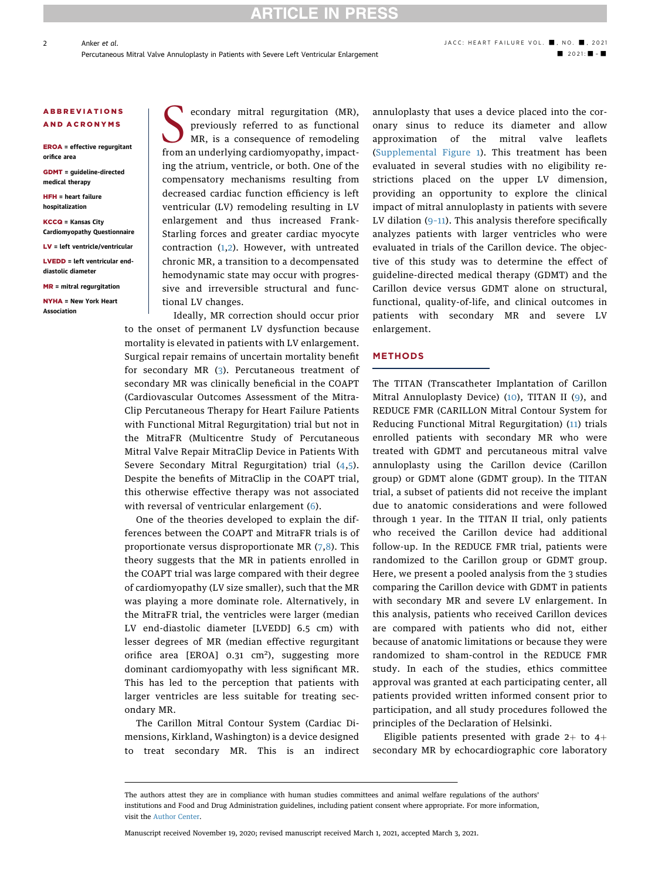## **RTICLE IN PRESS**

### ABBREVIATIONS AND ACRONYMS

EROA = effective regurgitant orifice area

GDMT = guideline-directed medical therapy

HFH = heart failure hospitalization

KCCQ = Kansas City Cardiomyopathy Questionnaire

LV = left ventricle/ventricular

LVEDD = left ventricular enddiastolic diameter

MR = mitral regurgitation

NYHA = New York Heart Association

S econdary mitral regurgitation (MR),<br>previously referred to as functional<br>MR, is a consequence of remodeling<br>from an underlying cardiomyonathy impactpreviously referred to as functional MR, is a consequence of remodeling from an underlying cardiomyopathy, impacting the atrium, ventricle, or both. One of the compensatory mechanisms resulting from decreased cardiac function efficiency is left ventricular (LV) remodeling resulting in LV enlargement and thus increased Frank-Starling forces and greater cardiac myocyte contraction [\(1](#page-9-0)[,2\)](#page-9-1). However, with untreated chronic MR, a transition to a decompensated hemodynamic state may occur with progressive and irreversible structural and functional LV changes.

Ideally, MR correction should occur prior to the onset of permanent LV dysfunction because mortality is elevated in patients with LV enlargement. Surgical repair remains of uncertain mortality benefit for secondary MR ([3](#page-9-2)). Percutaneous treatment of secondary MR was clinically beneficial in the COAPT (Cardiovascular Outcomes Assessment of the Mitra-Clip Percutaneous Therapy for Heart Failure Patients with Functional Mitral Regurgitation) trial but not in the MitraFR (Multicentre Study of Percutaneous Mitral Valve Repair MitraClip Device in Patients With Severe Secondary Mitral Regurgitation) trial ([4](#page-9-3)[,5\)](#page-9-4). Despite the benefits of MitraClip in the COAPT trial, this otherwise effective therapy was not associated with reversal of ventricular enlargement ([6\)](#page-9-5).

One of the theories developed to explain the differences between the COAPT and MitraFR trials is of proportionate versus disproportionate MR ([7,](#page-9-6)[8](#page-9-7)). This theory suggests that the MR in patients enrolled in the COAPT trial was large compared with their degree of cardiomyopathy (LV size smaller), such that the MR was playing a more dominate role. Alternatively, in the MitraFR trial, the ventricles were larger (median LV end-diastolic diameter [LVEDD] 6.5 cm) with lesser degrees of MR (median effective regurgitant orifice area [EROA]  $0.31 \text{ cm}^2$ ), suggesting more dominant cardiomyopathy with less significant MR. This has led to the perception that patients with larger ventricles are less suitable for treating secondary MR.

The Carillon Mitral Contour System (Cardiac Dimensions, Kirkland, Washington) is a device designed to treat secondary MR. This is an indirect annuloplasty that uses a device placed into the coronary sinus to reduce its diameter and allow approximation of the mitral valve leaflets ([Supplemental Figure 1\)](https://doi.org/10.1016/j.jchf.2021.03.002). This treatment has been evaluated in several studies with no eligibility restrictions placed on the upper LV dimension, providing an opportunity to explore the clinical impact of mitral annuloplasty in patients with severe LV dilation  $(9-11)$  $(9-11)$  $(9-11)$ . This analysis therefore specifically analyzes patients with larger ventricles who were evaluated in trials of the Carillon device. The objective of this study was to determine the effect of guideline-directed medical therapy (GDMT) and the Carillon device versus GDMT alone on structural, functional, quality-of-life, and clinical outcomes in patients with secondary MR and severe LV enlargement.

### **METHODS**

The TITAN (Transcatheter Implantation of Carillon Mitral Annuloplasty Device) [\(10\)](#page-9-9), TITAN II ([9\)](#page-9-8), and REDUCE FMR (CARILLON Mitral Contour System for Reducing Functional Mitral Regurgitation) [\(11\)](#page-9-10) trials enrolled patients with secondary MR who were treated with GDMT and percutaneous mitral valve annuloplasty using the Carillon device (Carillon group) or GDMT alone (GDMT group). In the TITAN trial, a subset of patients did not receive the implant due to anatomic considerations and were followed through 1 year. In the TITAN II trial, only patients who received the Carillon device had additional follow-up. In the REDUCE FMR trial, patients were randomized to the Carillon group or GDMT group. Here, we present a pooled analysis from the 3 studies comparing the Carillon device with GDMT in patients with secondary MR and severe LV enlargement. In this analysis, patients who received Carillon devices are compared with patients who did not, either because of anatomic limitations or because they were randomized to sham-control in the REDUCE FMR study. In each of the studies, ethics committee approval was granted at each participating center, all patients provided written informed consent prior to participation, and all study procedures followed the principles of the Declaration of Helsinki.

Eligible patients presented with grade  $2+$  to  $4+$ secondary MR by echocardiographic core laboratory

Manuscript received November 19, 2020; revised manuscript received March 1, 2021, accepted March 3, 2021.

2

The authors attest they are in compliance with human studies committees and animal welfare regulations of the authors' institutions and Food and Drug Administration guidelines, including patient consent where appropriate. For more information, visit the [Author Center](https://www.jacc.org/author-center).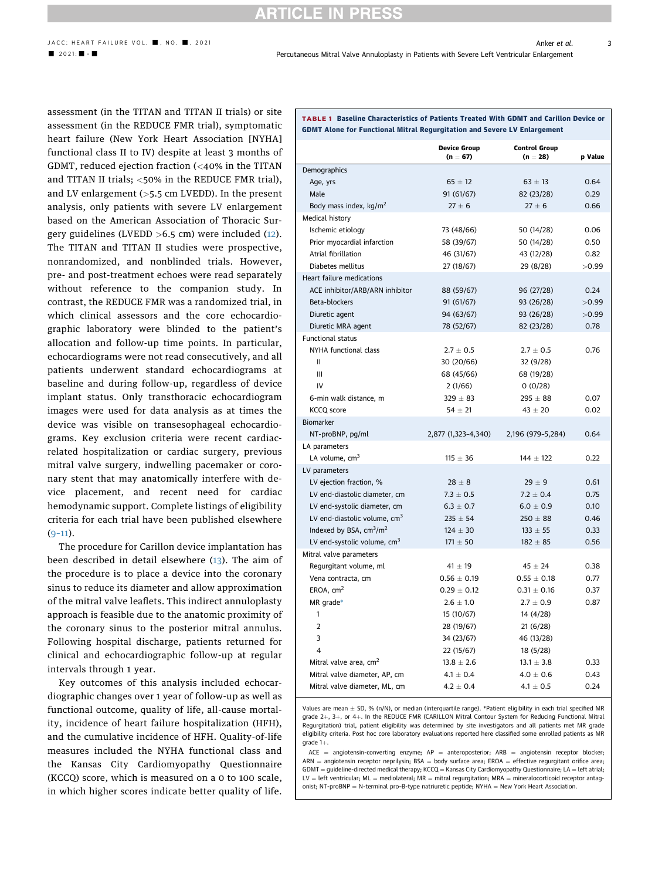## **RTICLE IN PRESS**

<span id="page-2-1"></span>TABLE 1 Baseline Characteristics of Patients Treated With GDMT and Carillon Device or

GDMT Alone for Functional Mitral Regurgitation and Severe LV Enlargement

3

assessment (in the TITAN and TITAN II trials) or site assessment (in the REDUCE FMR trial), symptomatic heart failure (New York Heart Association [NYHA] functional class II to IV) despite at least 3 months of GDMT, reduced ejection fraction (<40% in the TITAN and TITAN II trials; <50% in the REDUCE FMR trial), and LV enlargement (>5.5 cm LVEDD). In the present analysis, only patients with severe LV enlargement based on the American Association of Thoracic Surgery guidelines (LVEDD >6.5 cm) were included ([12\)](#page-9-11). The TITAN and TITAN II studies were prospective, nonrandomized, and nonblinded trials. However, pre- and post-treatment echoes were read separately without reference to the companion study. In contrast, the REDUCE FMR was a randomized trial, in which clinical assessors and the core echocardiographic laboratory were blinded to the patient's allocation and follow-up time points. In particular, echocardiograms were not read consecutively, and all patients underwent standard echocardiograms at baseline and during follow-up, regardless of device implant status. Only transthoracic echocardiogram images were used for data analysis as at times the device was visible on transesophageal echocardiograms. Key exclusion criteria were recent cardiacrelated hospitalization or cardiac surgery, previous mitral valve surgery, indwelling pacemaker or coronary stent that may anatomically interfere with device placement, and recent need for cardiac hemodynamic support. Complete listings of eligibility criteria for each trial have been published elsewhere  $(9-11).$  $(9-11).$  $(9-11).$ 

The procedure for Carillon device implantation has been described in detail elsewhere [\(13](#page-9-12)). The aim of the procedure is to place a device into the coronary sinus to reduce its diameter and allow approximation of the mitral valve leaflets. This indirect annuloplasty approach is feasible due to the anatomic proximity of the coronary sinus to the posterior mitral annulus. Following hospital discharge, patients returned for clinical and echocardiographic follow-up at regular intervals through 1 year.

Key outcomes of this analysis included echocardiographic changes over 1 year of follow-up as well as functional outcome, quality of life, all-cause mortality, incidence of heart failure hospitalization (HFH), and the cumulative incidence of HFH. Quality-of-life measures included the NYHA functional class and the Kansas City Cardiomyopathy Questionnaire (KCCQ) score, which is measured on a 0 to 100 scale, in which higher scores indicate better quality of life.

Device Group  $(n = 67)$ Control Group  $(n = 28)$  p Value Demographics Age, yrs 65  $\pm$  12  $63 \pm 13$ 0.64 Male 91 (61/67) 82 (23/28) 0.29 Body mass index,  $\text{kg/m}^2$  27  $\pm$  6  $27 \pm 6$ 0.66 Medical history Ischemic etiology 73 (48/66) 50 (14/28) 0.06 Prior myocardial infarction 58 (39/67) 50 (14/28) 0.50 Atrial fibrillation 46 (31/67) 43 (12/28) 0.82 Diabetes mellitus 27 (18/67) 29 (8/28) >0.99 Heart failure medications ACE inhibitor/ARB/ARN inhibitor 88 (59/67) 96 (27/28) 0.24 Beta-blockers 91 (61/67) 93 (26/28) >0.99 Diuretic agent 94 (63/67) 93 (26/28) 50.99 Diuretic MRA agent 78 (52/67) 82 (23/28) 0.78 Functional status NYHA functional class  $2.7 \pm 0.5$  $\pm$  0.5 2.7  $\pm$  0.5 0.76 II 30 (20/66) 32 (9/28) III 68 (45/66) 68 (19/28) IV 2 (1/66) 0 (0/28) 6-min walk distance, m  $329 \pm 83$  $295 \pm 88$ 0.07 KCCQ score  $54 \pm 21$  $43 \pm 20$  20 0.02 Biomarker NT-proBNP, pg/ml 2,877 (1,323–4,340) 2,196 (979–5,284) 0.64 LA parameters LA volume,  $cm<sup>3</sup>$  115  $\pm$  36  $\pm$  36 144  $\pm$  122 0.22 LV parameters LV ejection fraction,  $%$  28  $\pm$  8  $29 + 9$ 0.61 LV end-diastolic diameter, cm  $7.3 \pm 0.5$  $\pm$  0.5 7.2  $\pm$  0.4 0.75 LV end-systolic diameter, cm  $6.3 \pm$  $\pm$  0.7 6.0  $\pm$  $\pm$  0.9 0.10 LV end-diastolic volume, cm<sup>3</sup> 235  $\pm$  $\pm$  54 250  $\pm$  $\pm 88$  0.46

| $6.3 \pm 0.7$   | $6.0 \pm 0.9$   | 0.10 |
|-----------------|-----------------|------|
| $235 \pm 54$    | $250 \pm 88$    | 0.46 |
| $124 \pm 30$    | $133 \pm 55$    | 0.33 |
| $171 \pm 50$    | $182 \pm 85$    | 0.56 |
|                 |                 |      |
| $41 \pm 19$     | $45 \pm 24$     | 0.38 |
| $0.56 \pm 0.19$ | $0.55 \pm 0.18$ | 0.77 |
| $0.29 \pm 0.12$ | $0.31 \pm 0.16$ | 0.37 |
| $2.6 \pm 1.0$   | $2.7 \pm 0.9$   | 0.87 |
| 15 (10/67)      | 14 (4/28)       |      |
| 28 (19/67)      | 21(6/28)        |      |
| 34 (23/67)      | 46 (13/28)      |      |
| 22 (15/67)      | 18 (5/28)       |      |
| $13.8 \pm 2.6$  | $13.1 \pm 3.8$  | 0.33 |
| $4.1 \pm 0.4$   | $4.0 \pm 0.6$   | 0.43 |
| $4.2 \pm 0.4$   | $4.1 \pm 0.5$   | 0.24 |
|                 |                 |      |

<span id="page-2-0"></span>Values are mean  $\pm$  SD, % (n/N), or median (interquartile range). \*Patient eligibility in each trial specified MR grade 2+, 3+, or 4+, In the REDUCE FMR (CARILLON Mitral Contour System for Reducing Functional Mitral Regurgitation) trial, patient eligibility was determined by site investigators and all patients met MR grade eligibility criteria. Post hoc core laboratory evaluations reported here classified some enrolled patients as MR  $grade 1+.$ 

 $ACE = angiotensin-converting enzyme; AP = anteroposterior; ARB = angiotensin receptor blocker;$  $ARN =$  angiotensin receptor neprilysin; BSA = body surface area; EROA = effective regurgitant orifice area;  $GDMT =$  guideline-directed medical therapy; KCCO = Kansas City Cardiomyopathy Ouestionnaire; LA = left atrial;  $LV = left$  ventricular: ML = mediolateral: MR = mitral regurgitation; MRA = mineralocorticoid receptor antagonist; NT-proBNP = N-terminal pro-B-type natriuretic peptide; NYHA = New York Heart Association.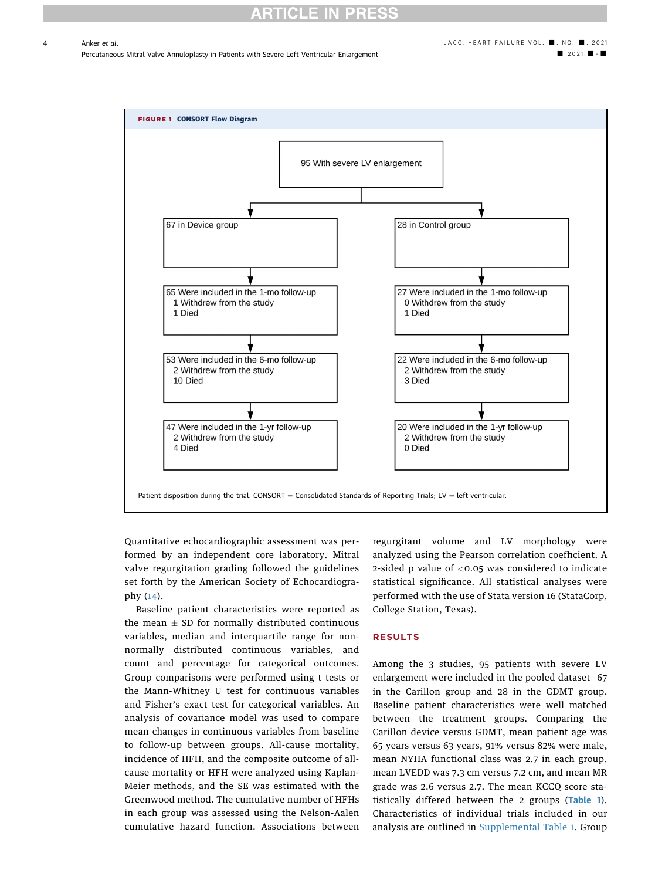## CLE IN

4

Percutaneous Mitral Valve Annuloplasty in Patients with Severe Left Ventricular Enlargement - 2021: ■ 2021: ■ - ■ 2021: ■ - ■

<span id="page-3-0"></span>

Quantitative echocardiographic assessment was performed by an independent core laboratory. Mitral valve regurgitation grading followed the guidelines set forth by the American Society of Echocardiography ([14](#page-9-13)).

Baseline patient characteristics were reported as the mean  $\pm$  SD for normally distributed continuous variables, median and interquartile range for nonnormally distributed continuous variables, and count and percentage for categorical outcomes. Group comparisons were performed using t tests or the Mann-Whitney U test for continuous variables and Fisher's exact test for categorical variables. An analysis of covariance model was used to compare mean changes in continuous variables from baseline to follow-up between groups. All-cause mortality, incidence of HFH, and the composite outcome of allcause mortality or HFH were analyzed using Kaplan-Meier methods, and the SE was estimated with the Greenwood method. The cumulative number of HFHs in each group was assessed using the Nelson-Aalen cumulative hazard function. Associations between regurgitant volume and LV morphology were analyzed using the Pearson correlation coefficient. A 2-sided p value of <0.05 was considered to indicate statistical significance. All statistical analyses were performed with the use of Stata version 16 (StataCorp, College Station, Texas).

### RESULTS

Among the 3 studies, 95 patients with severe LV enlargement were included in the pooled dataset—67 in the Carillon group and 28 in the GDMT group. Baseline patient characteristics were well matched between the treatment groups. Comparing the Carillon device versus GDMT, mean patient age was 65 years versus 63 years, 91% versus 82% were male, mean NYHA functional class was 2.7 in each group, mean LVEDD was 7.3 cm versus 7.2 cm, and mean MR grade was 2.6 versus 2.7. The mean KCCQ score statistically differed between the 2 groups ([Table 1](#page-2-1)). Characteristics of individual trials included in our analysis are outlined in [Supplemental Table 1](https://doi.org/10.1016/j.jchf.2021.03.002). Group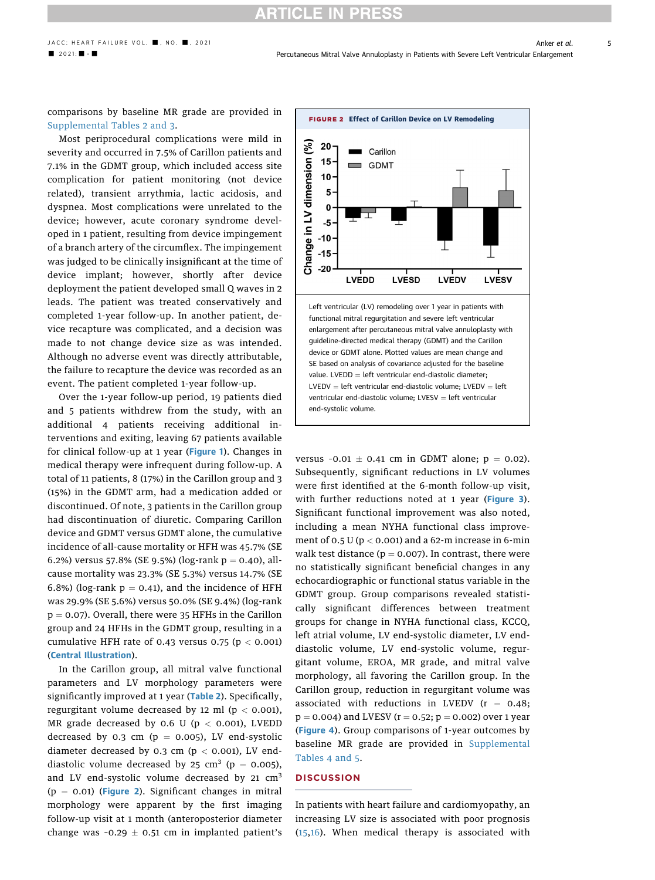## **ITICLE IN**

[Supplemental Tables 2 and 3.](https://doi.org/10.1016/j.jchf.2021.03.002) Most periprocedural complications were mild in severity and occurred in 7.5% of Carillon patients and 7.1% in the GDMT group, which included access site complication for patient monitoring (not device related), transient arrythmia, lactic acidosis, and dyspnea. Most complications were unrelated to the device; however, acute coronary syndrome developed in 1 patient, resulting from device impingement of a branch artery of the circumflex. The impingement was judged to be clinically insignificant at the time of device implant; however, shortly after device deployment the patient developed small Q waves in 2 leads. The patient was treated conservatively and completed 1-year follow-up. In another patient, device recapture was complicated, and a decision was made to not change device size as was intended. Although no adverse event was directly attributable, the failure to recapture the device was recorded as an event. The patient completed 1-year follow-up.

Over the 1-year follow-up period, 19 patients died and 5 patients withdrew from the study, with an additional 4 patients receiving additional interventions and exiting, leaving 67 patients available for clinical follow-up at 1 year ([Figure 1](#page-3-0)). Changes in medical therapy were infrequent during follow-up. A total of 11 patients, 8 (17%) in the Carillon group and 3 (15%) in the GDMT arm, had a medication added or discontinued. Of note, 3 patients in the Carillon group had discontinuation of diuretic. Comparing Carillon device and GDMT versus GDMT alone, the cumulative incidence of all-cause mortality or HFH was 45.7% (SE 6.2%) versus 57.8% (SE 9.5%) (log-rank  $p = 0.40$ ), allcause mortality was 23.3% (SE 5.3%) versus 14.7% (SE 6.8%) (log-rank  $p = 0.41$ ), and the incidence of HFH was 29.9% (SE 5.6%) versus 50.0% (SE 9.4%) (log-rank  $p = 0.07$ ). Overall, there were 35 HFHs in the Carillon group and 24 HFHs in the GDMT group, resulting in a cumulative HFH rate of 0.43 versus 0.75 ( $p < 0.001$ ) ([Central Illustration](#page-5-0)).

In the Carillon group, all mitral valve functional parameters and LV morphology parameters were significantly improved at 1 year ([Table 2](#page-6-0)). Specifically, regurgitant volume decreased by 12 ml ( $p < 0.001$ ), MR grade decreased by 0.6 U ( $p < 0.001$ ), LVEDD decreased by 0.3 cm ( $p = 0.005$ ), LV end-systolic diameter decreased by 0.3 cm ( $p < 0.001$ ), LV enddiastolic volume decreased by 25 cm<sup>3</sup> ( $p = 0.005$ ), and LV end-systolic volume decreased by 21 cm<sup>3</sup>  $(p = 0.01)$  ([Figure 2](#page-4-0)). Significant changes in mitral morphology were apparent by the first imaging follow-up visit at 1 month (anteroposterior diameter change was -0.29  $\pm$  0.51 cm in implanted patient's

<span id="page-4-0"></span>

versus -0.01  $\pm$  0.41 cm in GDMT alone;  $p = 0.02$ ). Subsequently, significant reductions in LV volumes were first identified at the 6-month follow-up visit, with further reductions noted at 1 year ([Figure 3](#page-7-0)). Significant functional improvement was also noted, including a mean NYHA functional class improvement of 0.5 U ( $p < 0.001$ ) and a 62-m increase in 6-min walk test distance ( $p = 0.007$ ). In contrast, there were no statistically significant beneficial changes in any echocardiographic or functional status variable in the GDMT group. Group comparisons revealed statistically significant differences between treatment groups for change in NYHA functional class, KCCQ, left atrial volume, LV end-systolic diameter, LV enddiastolic volume, LV end-systolic volume, regurgitant volume, EROA, MR grade, and mitral valve morphology, all favoring the Carillon group. In the Carillon group, reduction in regurgitant volume was associated with reductions in LVEDV ( $r = 0.48$ ;  $p = 0.004$ ) and LVESV (r = 0.52;  $p = 0.002$ ) over 1 year ([Figure 4](#page-7-1)). Group comparisons of 1-year outcomes by baseline MR grade are provided in [Supplemental](https://doi.org/10.1016/j.jchf.2021.03.002) [Tables 4 and 5.](https://doi.org/10.1016/j.jchf.2021.03.002)

## **DISCUSSION**

In patients with heart failure and cardiomyopathy, an increasing LV size is associated with poor prognosis ([15,](#page-9-14)[16\)](#page-9-15). When medical therapy is associated with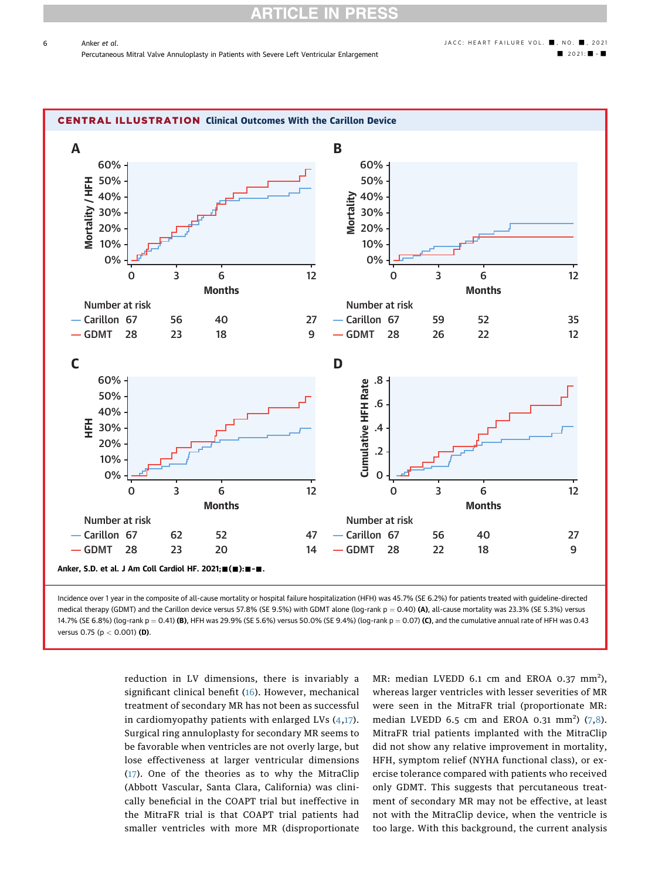<span id="page-5-0"></span>

medical therapy (GDMT) and the Carillon device versus 57.8% (SE 9.5%) with GDMT alone (log-rank  $p = 0.40$ ) (A), all-cause mortality was 23.3% (SE 5.3%) versus 14.7% (SE 6.8%) (log-rank p = 0.41) (B), HFH was 29.9% (SE 5.6%) versus 50.0% (SE 9.4%) (log-rank p = 0.07) (C), and the cumulative annual rate of HFH was 0.43 versus 0.75 ( $p < 0.001$ ) (D).

> reduction in LV dimensions, there is invariably a significant clinical benefit ([16](#page-9-15)). However, mechanical treatment of secondary MR has not been as successful in cardiomyopathy patients with enlarged LVs [\(4](#page-9-3),[17\)](#page-9-16). Surgical ring annuloplasty for secondary MR seems to be favorable when ventricles are not overly large, but lose effectiveness at larger ventricular dimensions ([17](#page-9-16)). One of the theories as to why the MitraClip (Abbott Vascular, Santa Clara, California) was clinically beneficial in the COAPT trial but ineffective in the MitraFR trial is that COAPT trial patients had smaller ventricles with more MR (disproportionate

MR: median LVEDD 6.1 cm and EROA 0.37  $mm<sup>2</sup>$ ), whereas larger ventricles with lesser severities of MR were seen in the MitraFR trial (proportionate MR: median LVEDD 6.5 cm and EROA 0.31 mm<sup>2</sup>)  $(7,8)$  $(7,8)$  $(7,8)$ . MitraFR trial patients implanted with the MitraClip did not show any relative improvement in mortality, HFH, symptom relief (NYHA functional class), or exercise tolerance compared with patients who received only GDMT. This suggests that percutaneous treatment of secondary MR may not be effective, at least not with the MitraClip device, when the ventricle is too large. With this background, the current analysis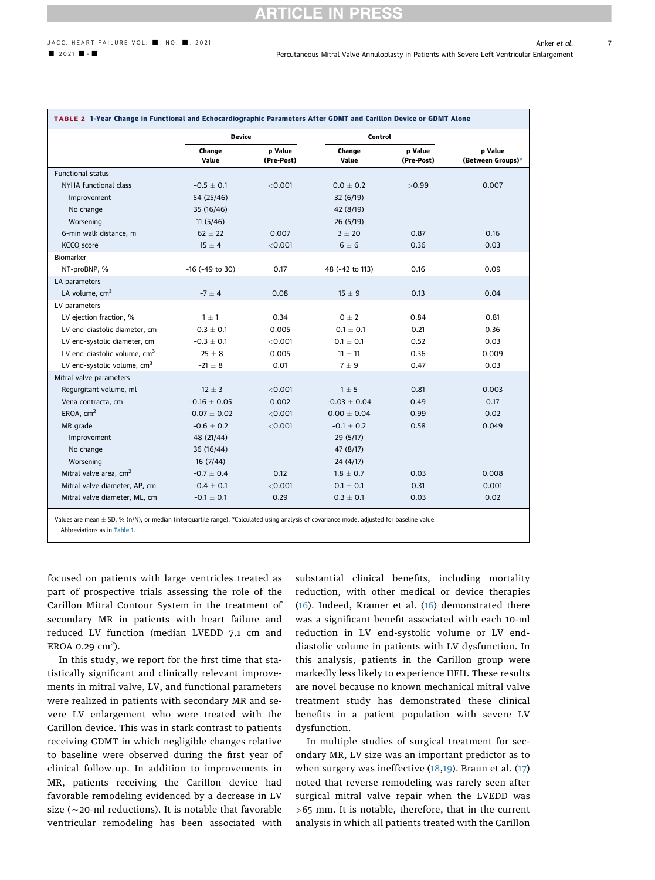## $JACC: HEART FAILURE VOL.$  ,  $MOL: JACC: HEART FAILURE VOL.$

<span id="page-6-0"></span>

|                                    | <b>Device</b>        |                       | Control          |                       |                              |  |
|------------------------------------|----------------------|-----------------------|------------------|-----------------------|------------------------------|--|
|                                    | Change<br>Value      | p Value<br>(Pre-Post) | Change<br>Value  | p Value<br>(Pre-Post) | p Value<br>(Between Groups)* |  |
| <b>Functional status</b>           |                      |                       |                  |                       |                              |  |
| NYHA functional class              | $-0.5 \pm 0.1$       | < 0.001               | $0.0 \pm 0.2$    | >0.99                 | 0.007                        |  |
| Improvement                        | 54 (25/46)           |                       | 32(6/19)         |                       |                              |  |
| No change                          | 35 (16/46)           |                       | 42 (8/19)        |                       |                              |  |
| Worsening                          | 11(5/46)             |                       | 26(5/19)         |                       |                              |  |
| 6-min walk distance, m             | $62 \pm 22$          | 0.007                 | 3 ± 20           | 0.87                  | 0.16                         |  |
| <b>KCCQ</b> score                  | $15 \pm 4$           | < 0.001               | $6 \pm 6$        | 0.36                  | 0.03                         |  |
| Biomarker                          |                      |                       |                  |                       |                              |  |
| NT-proBNP, %                       | $-16$ ( $-49$ to 30) | 0.17                  | 48 (-42 to 113)  | 0.16                  | 0.09                         |  |
| LA parameters                      |                      |                       |                  |                       |                              |  |
| LA volume, $cm3$                   | $-7 \pm 4$           | 0.08                  | $15 \pm 9$       | 0.13                  | 0.04                         |  |
| LV parameters                      |                      |                       |                  |                       |                              |  |
| LV ejection fraction, %            | $1 \pm 1$            | 0.34                  | $0 \pm 2$        | 0.84                  | 0.81                         |  |
| LV end-diastolic diameter, cm      | $-0.3 \pm 0.1$       | 0.005                 | $-0.1 \pm 0.1$   | 0.21                  | 0.36                         |  |
| LV end-systolic diameter, cm       | $-0.3 \pm 0.1$       | < 0.001               | $0.1 \pm 0.1$    | 0.52                  | 0.03                         |  |
| LV end-diastolic volume, $cm3$     | $-25 \pm 8$          | 0.005                 | $11 \pm 11$      | 0.36                  | 0.009                        |  |
| LV end-systolic volume, $cm3$      | $-21 \pm 8$          | 0.01                  | 7 ± 9            | 0.47                  | 0.03                         |  |
| Mitral valve parameters            |                      |                       |                  |                       |                              |  |
| Regurgitant volume, ml             | $-12 \pm 3$          | < 0.001               | $1 \pm 5$        | 0.81                  | 0.003                        |  |
| Vena contracta, cm                 | $-0.16 \pm 0.05$     | 0.002                 | $-0.03 \pm 0.04$ | 0.49                  | 0.17                         |  |
| EROA. $cm2$                        | $-0.07 \pm 0.02$     | < 0.001               | $0.00 \pm 0.04$  | 0.99                  | 0.02                         |  |
| MR grade                           | $-0.6 \pm 0.2$       | < 0.001               | $-0.1 \pm 0.2$   | 0.58                  | 0.049                        |  |
| Improvement                        | 48 (21/44)           |                       | 29(5/17)         |                       |                              |  |
| No change                          | 36 (16/44)           |                       | 47 (8/17)        |                       |                              |  |
| Worsening                          | 16(7/44)             |                       | 24(4/17)         |                       |                              |  |
| Mitral valve area, cm <sup>2</sup> | $-0.7 \pm 0.4$       | 0.12                  | $1.8 \pm 0.7$    | 0.03                  | 0.008                        |  |

<span id="page-6-1"></span>Values are mean  $\pm$  SD, % (n/N), or median (interquartile range). \*Calculated using analysis of covariance model adjusted for baseline value. Abbreviations as in [Table 1](#page-2-1).

 $\pm$  0.1  $\pm$  0.001 0.1  $\pm$ 

focused on patients with large ventricles treated as part of prospective trials assessing the role of the Carillon Mitral Contour System in the treatment of secondary MR in patients with heart failure and reduced LV function (median LVEDD 7.1 cm and EROA 0.29  $\text{cm}^2$ ).

Mitral valve diameter, AP, cm  $-0.4 \pm 0.1$ 

Mitral valve diameter, ML, cm  $-0.1 \pm 0.1$ 

In this study, we report for the first time that statistically significant and clinically relevant improvements in mitral valve, LV, and functional parameters were realized in patients with secondary MR and severe LV enlargement who were treated with the Carillon device. This was in stark contrast to patients receiving GDMT in which negligible changes relative to baseline were observed during the first year of clinical follow-up. In addition to improvements in MR, patients receiving the Carillon device had favorable remodeling evidenced by a decrease in LV size ( $\sim$ 20-ml reductions). It is notable that favorable ventricular remodeling has been associated with substantial clinical benefits, including mortality reduction, with other medical or device therapies ([16](#page-9-15)). Indeed, Kramer et al. [\(16\)](#page-9-15) demonstrated there was a significant benefit associated with each 10-ml reduction in LV end-systolic volume or LV enddiastolic volume in patients with LV dysfunction. In this analysis, patients in the Carillon group were markedly less likely to experience HFH. These results are novel because no known mechanical mitral valve treatment study has demonstrated these clinical benefits in a patient population with severe LV dysfunction.

 $\pm$  0.1 0.31 0.001

 $\pm$  0.1 0.29 0.3  $\pm$  0.1 0.03 0.02

In multiple studies of surgical treatment for secondary MR, LV size was an important predictor as to when surgery was ineffective ([18](#page-9-17),[19](#page-9-18)). Braun et al. ([17\)](#page-9-16) noted that reverse remodeling was rarely seen after surgical mitral valve repair when the LVEDD was >65 mm. It is notable, therefore, that in the current analysis in which all patients treated with the Carillon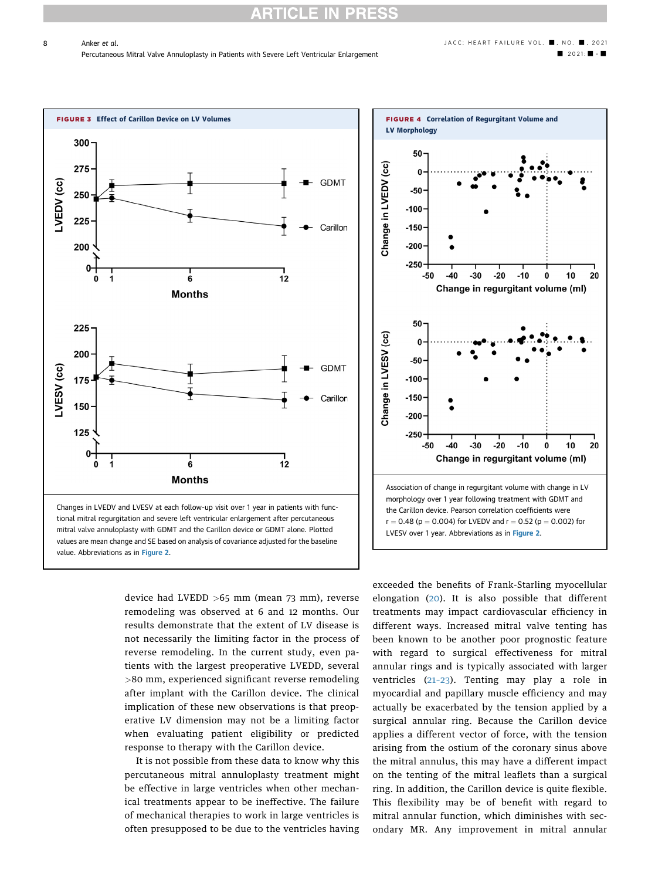8

<span id="page-7-0"></span>

device had LVEDD >65 mm (mean 73 mm), reverse remodeling was observed at 6 and 12 months. Our results demonstrate that the extent of LV disease is not necessarily the limiting factor in the process of reverse remodeling. In the current study, even patients with the largest preoperative LVEDD, several >80 mm, experienced significant reverse remodeling after implant with the Carillon device. The clinical implication of these new observations is that preoperative LV dimension may not be a limiting factor when evaluating patient eligibility or predicted response to therapy with the Carillon device.

It is not possible from these data to know why this percutaneous mitral annuloplasty treatment might be effective in large ventricles when other mechanical treatments appear to be ineffective. The failure of mechanical therapies to work in large ventricles is often presupposed to be due to the ventricles having

<span id="page-7-1"></span>

exceeded the benefits of Frank-Starling myocellular elongation ([20\)](#page-9-19). It is also possible that different treatments may impact cardiovascular efficiency in different ways. Increased mitral valve tenting has been known to be another poor prognostic feature with regard to surgical effectiveness for mitral annular rings and is typically associated with larger ventricles (21–[23](#page-9-20)). Tenting may play a role in myocardial and papillary muscle efficiency and may actually be exacerbated by the tension applied by a surgical annular ring. Because the Carillon device applies a different vector of force, with the tension arising from the ostium of the coronary sinus above the mitral annulus, this may have a different impact on the tenting of the mitral leaflets than a surgical ring. In addition, the Carillon device is quite flexible. This flexibility may be of benefit with regard to mitral annular function, which diminishes with secondary MR. Any improvement in mitral annular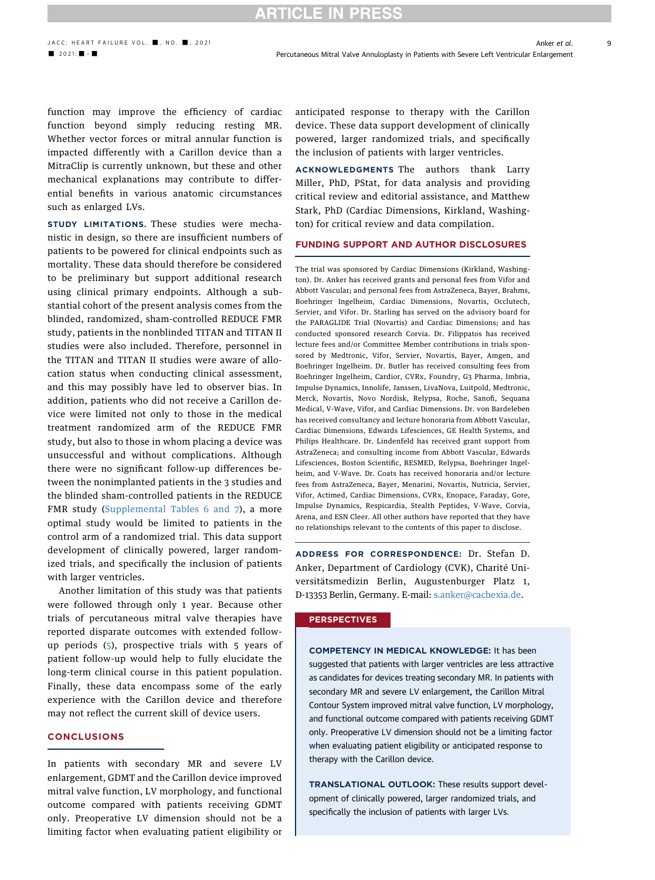## **ARTICLE IN PRESS**

function may improve the efficiency of cardiac function beyond simply reducing resting MR. Whether vector forces or mitral annular function is impacted differently with a Carillon device than a MitraClip is currently unknown, but these and other mechanical explanations may contribute to differential benefits in various anatomic circumstances such as enlarged LVs.

STUDY LIMITATIONS. These studies were mechanistic in design, so there are insufficient numbers of patients to be powered for clinical endpoints such as mortality. These data should therefore be considered to be preliminary but support additional research using clinical primary endpoints. Although a substantial cohort of the present analysis comes from the blinded, randomized, sham-controlled REDUCE FMR study, patients in the nonblinded TITAN and TITAN II studies were also included. Therefore, personnel in the TITAN and TITAN II studies were aware of allocation status when conducting clinical assessment, and this may possibly have led to observer bias. In addition, patients who did not receive a Carillon device were limited not only to those in the medical treatment randomized arm of the REDUCE FMR study, but also to those in whom placing a device was unsuccessful and without complications. Although there were no significant follow-up differences between the nonimplanted patients in the 3 studies and the blinded sham-controlled patients in the REDUCE FMR study [\(Supplemental Tables 6 and 7\)](https://doi.org/10.1016/j.jchf.2021.03.002), a more optimal study would be limited to patients in the control arm of a randomized trial. This data support development of clinically powered, larger randomized trials, and specifically the inclusion of patients with larger ventricles.

Another limitation of this study was that patients were followed through only 1 year. Because other trials of percutaneous mitral valve therapies have reported disparate outcomes with extended followup periods ([5\)](#page-9-4), prospective trials with 5 years of patient follow-up would help to fully elucidate the long-term clinical course in this patient population. Finally, these data encompass some of the early experience with the Carillon device and therefore may not reflect the current skill of device users.

### CONCLUSIONS

In patients with secondary MR and severe LV enlargement, GDMT and the Carillon device improved mitral valve function, LV morphology, and functional outcome compared with patients receiving GDMT only. Preoperative LV dimension should not be a limiting factor when evaluating patient eligibility or anticipated response to therapy with the Carillon device. These data support development of clinically powered, larger randomized trials, and specifically the inclusion of patients with larger ventricles.

ACKNOWLEDGMENTS The authors thank Larry Miller, PhD, PStat, for data analysis and providing critical review and editorial assistance, and Matthew Stark, PhD (Cardiac Dimensions, Kirkland, Washington) for critical review and data compilation.

### FUNDING SUPPORT AND AUTHOR DISCLOSURES

The trial was sponsored by Cardiac Dimensions (Kirkland, Washington). Dr. Anker has received grants and personal fees from Vifor and Abbott Vascular; and personal fees from AstraZeneca, Bayer, Brahms, Boehringer Ingelheim, Cardiac Dimensions, Novartis, Occlutech, Servier, and Vifor. Dr. Starling has served on the advisory board for the PARAGLIDE Trial (Novartis) and Cardiac Dimensions; and has conducted sponsored research Corvia. Dr. Filippatos has received lecture fees and/or Committee Member contributions in trials sponsored by Medtronic, Vifor, Servier, Novartis, Bayer, Amgen, and Boehringer Ingelheim. Dr. Butler has received consulting fees from Boehringer Ingelheim, Cardior, CVRx, Foundry, G3 Pharma, Imbria, Impulse Dynamics, Innolife, Janssen, LivaNova, Luitpold, Medtronic, Merck, Novartis, Novo Nordisk, Relypsa, Roche, Sanofi, Sequana Medical, V-Wave, Vifor, and Cardiac Dimensions. Dr. von Bardeleben has received consultancy and lecture honoraria from Abbott Vascular, Cardiac Dimensions, Edwards Lifesciences, GE Health Systems, and Philips Healthcare. Dr. Lindenfeld has received grant support from AstraZeneca; and consulting income from Abbott Vascular, Edwards Lifesciences, Boston Scientific, RESMED, Relypsa, Boehringer Ingelheim, and V-Wave. Dr. Coats has received honoraria and/or lecture fees from AstraZeneca, Bayer, Menarini, Novartis, Nutricia, Servier, Vifor, Actimed, Cardiac Dimensions, CVRx, Enopace, Faraday, Gore, Impulse Dynamics, Respicardia, Stealth Peptides, V-Wave, Corvia, Arena, and ESN Cleer. All other authors have reported that they have no relationships relevant to the contents of this paper to disclose.

ADDRESS FOR CORRESPONDENCE: Dr. Stefan D. Anker, Department of Cardiology (CVK), Charité Universitätsmedizin Berlin, Augustenburger Platz 1, D-13353 Berlin, Germany. E-mail: [s.anker@cachexia.de](mailto:s.anker@cachexia.de).

### **PERSPECTIVES**

COMPETENCY IN MEDICAL KNOWLEDGE: It has been suggested that patients with larger ventricles are less attractive as candidates for devices treating secondary MR. In patients with secondary MR and severe LV enlargement, the Carillon Mitral Contour System improved mitral valve function, LV morphology, and functional outcome compared with patients receiving GDMT only. Preoperative LV dimension should not be a limiting factor when evaluating patient eligibility or anticipated response to therapy with the Carillon device.

TRANSLATIONAL OUTLOOK: These results support development of clinically powered, larger randomized trials, and specifically the inclusion of patients with larger LVs.